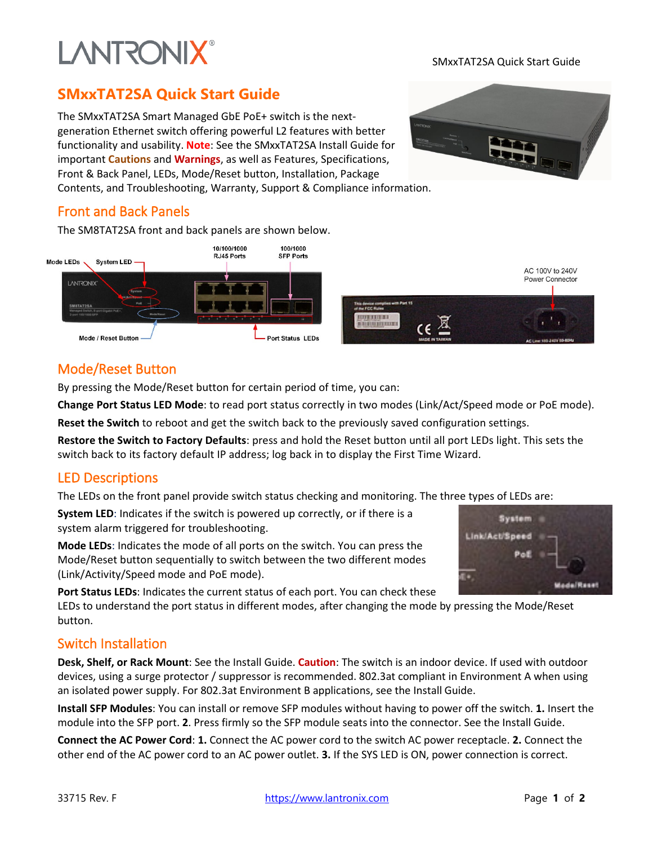# **LANTRONIX®**

#### SMxxTAT2SA Quick Start Guide

## **SMxxTAT2SA Quick Start Guide**

The SMxxTAT2SA Smart Managed GbE PoE+ switch is the nextgeneration Ethernet switch offering powerful L2 features with better functionality and usability. **Note**: See the SMxxTAT2SA Install Guide for important **Cautions** and **Warnings**, as well as Features, Specifications, Front & Back Panel, LEDs, Mode/Reset button, Installation, Package Contents, and Troubleshooting, Warranty, Support & Compliance information.



#### Front and Back Panels

The SM8TAT2SA front and back panels are shown below.



#### Mode/Reset Button

By pressing the Mode/Reset button for certain period of time, you can:

**Change Port Status LED Mode**: to read port status correctly in two modes (Link/Act/Speed mode or PoE mode).

**Reset the Switch** to reboot and get the switch back to the previously saved configuration settings.

**Restore the Switch to Factory Defaults**: press and hold the Reset button until all port LEDs light. This sets the switch back to its factory default IP address; log back in to display the First Time Wizard.

#### LED Descriptions

The LEDs on the front panel provide switch status checking and monitoring. The three types of LEDs are:

**System LED**: Indicates if the switch is powered up correctly, or if there is a system alarm triggered for troubleshooting.

**Mode LEDs**: Indicates the mode of all ports on the switch. You can press the Mode/Reset button sequentially to switch between the two different modes (Link/Activity/Speed mode and PoE mode).

**Port Status LEDs**: Indicates the current status of each port. You can check these

LEDs to understand the port status in different modes, after changing the mode by pressing the Mode/Reset button.

#### Switch Installation

**Desk, Shelf, or Rack Mount**: See the Install Guide. **Caution**: The switch is an indoor device. If used with outdoor devices, using a surge protector / suppressor is recommended. 802.3at compliant in Environment A when using an isolated power supply. For 802.3at Environment B applications, see the Install Guide.

**Install SFP Modules**: You can install or remove SFP modules without having to power off the switch. **1.** Insert the module into the SFP port. **2**. Press firmly so the SFP module seats into the connector. See the Install Guide.

**Connect the AC Power Cord**: **1.** Connect the AC power cord to the switch AC power receptacle. **2.** Connect the other end of the AC power cord to an AC power outlet. **3.** If the SYS LED is ON, power connection is correct.